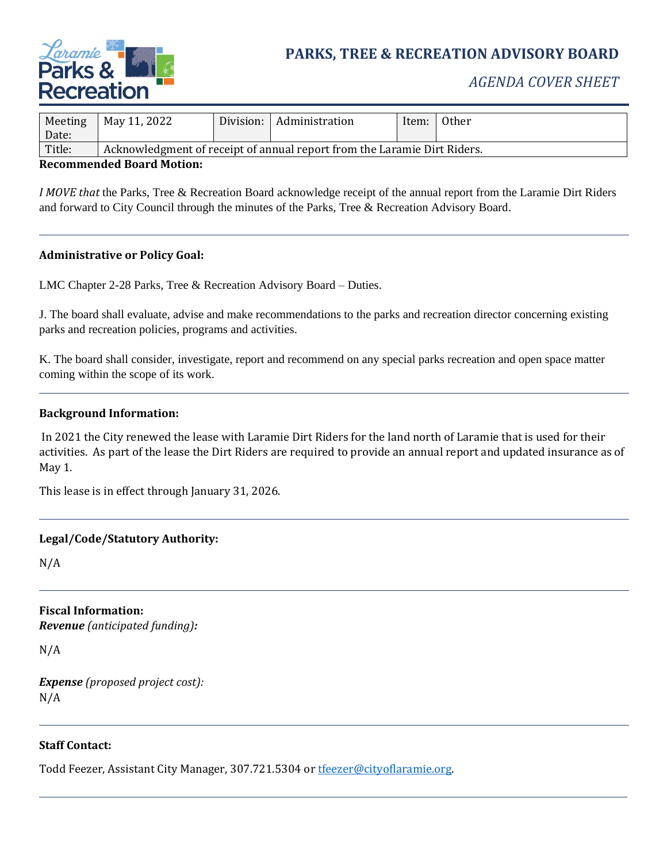

# **PARKS, TREE & RECREATION ADVISORY BOARD**

## *AGENDA COVER SHEET*

| Meeting    | May 11, 2022                                                             | Division: | Administration | Item: | Other |
|------------|--------------------------------------------------------------------------|-----------|----------------|-------|-------|
| Date:      |                                                                          |           |                |       |       |
| Title:     | Acknowledgment of receipt of annual report from the Laramie Dirt Riders. |           |                |       |       |
| $\sqrt{2}$ | .                                                                        |           |                |       |       |

#### **Recommended Board Motion:**

*I MOVE that the Parks, Tree & Recreation Board acknowledge receipt of the annual report from the Laramie Dirt Riders* and forward to City Council through the minutes of the Parks, Tree & Recreation Advisory Board.

#### **Administrative or Policy Goal:**

LMC Chapter 2-28 Parks, Tree & Recreation Advisory Board – Duties.

J. The board shall evaluate, advise and make recommendations to the parks and recreation director concerning existing parks and recreation policies, programs and activities.

K. The board shall consider, investigate, report and recommend on any special parks recreation and open space matter coming within the scope of its work.

#### **Background Information:**

In 2021 the City renewed the lease with Laramie Dirt Riders for the land north of Laramie that is used for their activities. As part of the lease the Dirt Riders are required to provide an annual report and updated insurance as of May 1.

This lease is in effect through January 31, 2026.

#### **Legal/Code/Statutory Authority:**

N/A

**Fiscal Information:** *Revenue (anticipated funding):*

N/A

*Expense (proposed project cost):* N/A

#### **Staff Contact:**

Todd Feezer, Assistant City Manager, 307.721.5304 or [tfeezer@cityoflaramie.org.](mailto:tfeezer@cityoflaramie.org)